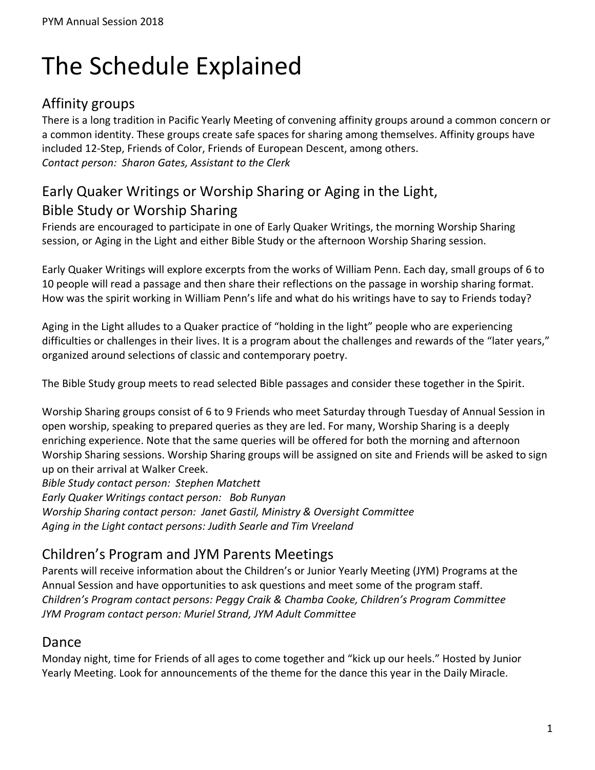# The Schedule Explained

## Affinity groups

There is a long tradition in Pacific Yearly Meeting of convening affinity groups around a common concern or a common identity. These groups create safe spaces for sharing among themselves. Affinity groups have included 12-Step, Friends of Color, Friends of European Descent, among others. *Contact person: Sharon Gates, Assistant to the Clerk*

## Early Quaker Writings or Worship Sharing or Aging in the Light, Bible Study or Worship Sharing

Friends are encouraged to participate in one of Early Quaker Writings, the morning Worship Sharing session, or Aging in the Light and either Bible Study or the afternoon Worship Sharing session.

Early Quaker Writings will explore excerpts from the works of William Penn. Each day, small groups of 6 to 10 people will read a passage and then share their reflections on the passage in worship sharing format. How was the spirit working in William Penn's life and what do his writings have to say to Friends today?

Aging in the Light alludes to a Quaker practice of "holding in the light" people who are experiencing difficulties or challenges in their lives. It is a program about the challenges and rewards of the "later years," organized around selections of classic and contemporary poetry.

The Bible Study group meets to read selected Bible passages and consider these together in the Spirit.

Worship Sharing groups consist of 6 to 9 Friends who meet Saturday through Tuesday of Annual Session in open worship, speaking to prepared queries as they are led. For many, Worship Sharing is a deeply enriching experience. Note that the same queries will be offered for both the morning and afternoon Worship Sharing sessions. Worship Sharing groups will be assigned on site and Friends will be asked to sign up on their arrival at Walker Creek.

*Bible Study contact person: Stephen Matchett Early Quaker Writings contact person: Bob Runyan Worship Sharing contact person: Janet Gastil, Ministry & Oversight Committee Aging in the Light contact persons: Judith Searle and Tim Vreeland*

## Children's Program and JYM Parents Meetings

Parents will receive information about the Children's or Junior Yearly Meeting (JYM) Programs at the Annual Session and have opportunities to ask questions and meet some of the program staff. *Children's Program contact persons: Peggy Craik & Chamba Cooke, Children's Program Committee JYM Program contact person: Muriel Strand, JYM Adult Committee*

#### Dance

Monday night, time for Friends of all ages to come together and "kick up our heels." Hosted by Junior Yearly Meeting. Look for announcements of the theme for the dance this year in the Daily Miracle.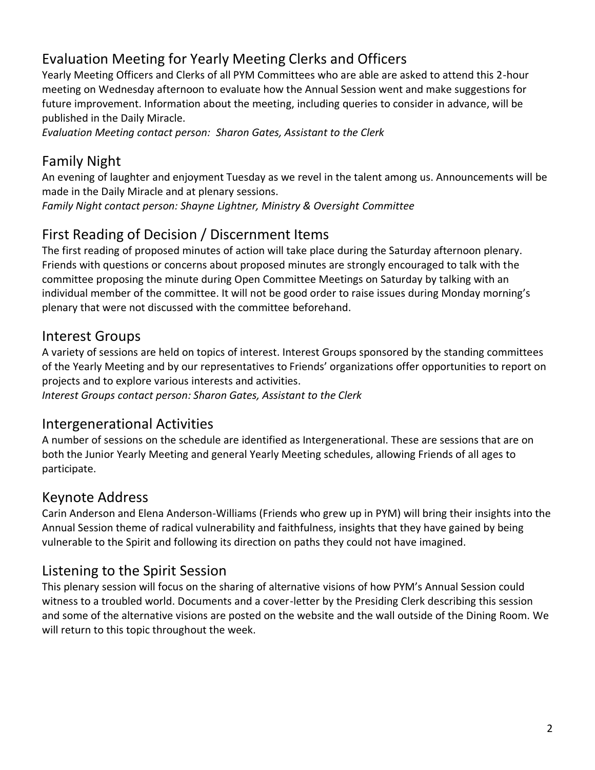# Evaluation Meeting for Yearly Meeting Clerks and Officers

Yearly Meeting Officers and Clerks of all PYM Committees who are able are asked to attend this 2-hour meeting on Wednesday afternoon to evaluate how the Annual Session went and make suggestions for future improvement. Information about the meeting, including queries to consider in advance, will be published in the Daily Miracle.

*Evaluation Meeting contact person: Sharon Gates, Assistant to the Clerk*

## Family Night

An evening of laughter and enjoyment Tuesday as we revel in the talent among us. Announcements will be made in the Daily Miracle and at plenary sessions.

*Family Night contact person: Shayne Lightner, Ministry & Oversight Committee*

## First Reading of Decision / Discernment Items

The first reading of proposed minutes of action will take place during the Saturday afternoon plenary. Friends with questions or concerns about proposed minutes are strongly encouraged to talk with the committee proposing the minute during Open Committee Meetings on Saturday by talking with an individual member of the committee. It will not be good order to raise issues during Monday morning's plenary that were not discussed with the committee beforehand.

#### Interest Groups

A variety of sessions are held on topics of interest. Interest Groups sponsored by the standing committees of the Yearly Meeting and by our representatives to Friends' organizations offer opportunities to report on projects and to explore various interests and activities. *Interest Groups contact person: Sharon Gates, Assistant to the Clerk*

#### Intergenerational Activities

A number of sessions on the schedule are identified as Intergenerational. These are sessions that are on both the Junior Yearly Meeting and general Yearly Meeting schedules, allowing Friends of all ages to participate.

## Keynote Address

Carin Anderson and Elena Anderson-Williams (Friends who grew up in PYM) will bring their insights into the Annual Session theme of radical vulnerability and faithfulness, insights that they have gained by being vulnerable to the Spirit and following its direction on paths they could not have imagined.

## Listening to the Spirit Session

This plenary session will focus on the sharing of alternative visions of how PYM's Annual Session could witness to a troubled world. Documents and a cover-letter by the Presiding Clerk describing this session and some of the alternative visions are posted on the website and the wall outside of the Dining Room. We will return to this topic throughout the week.